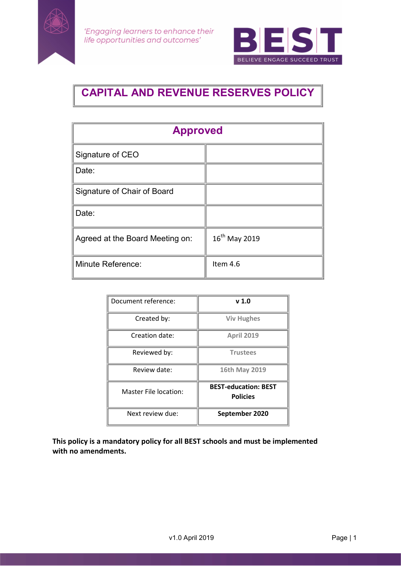



# CAPITAL AND REVENUE RESERVES POLICY

| <b>Approved</b>                 |                 |
|---------------------------------|-----------------|
| Signature of CEO                |                 |
| Date:                           |                 |
| Signature of Chair of Board     |                 |
| Date:                           |                 |
| Agreed at the Board Meeting on: | $16th$ May 2019 |
| <b>Minute Reference:</b>        | Item 4.6        |

| Document reference:   | v <sub>1.0</sub>                               |
|-----------------------|------------------------------------------------|
| Created by:           | <b>Viv Hughes</b>                              |
| Creation date:        | <b>April 2019</b>                              |
| Reviewed by:          | <b>Trustees</b>                                |
| Review date:          | 16th May 2019                                  |
| Master File location: | <b>BEST-education: BEST</b><br><b>Policies</b> |
| Next review due:      | September 2020                                 |

This policy is a mandatory policy for all BEST schools and must be implemented with no amendments.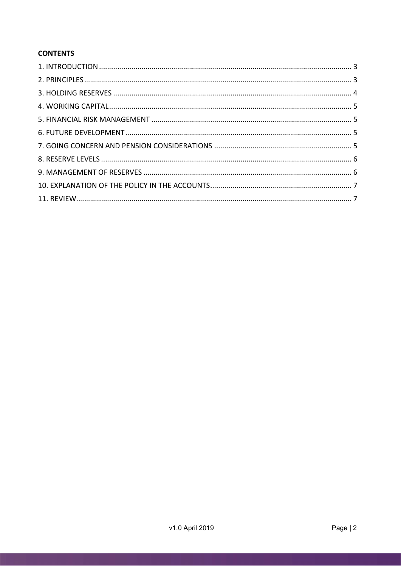## **CONTENTS**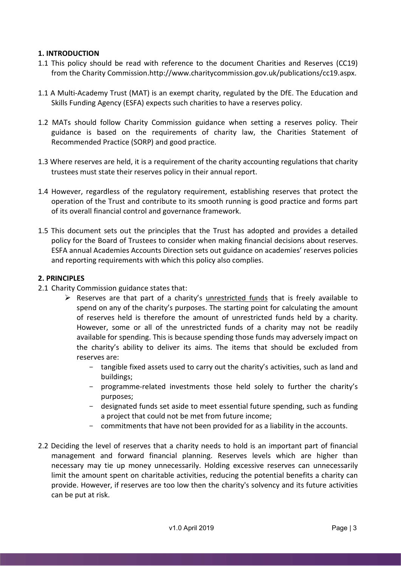#### 1. INTRODUCTION

- 1.1 This policy should be read with reference to the document Charities and Reserves (CC19) from the Charity Commission.http://www.charitycommission.gov.uk/publications/cc19.aspx.
- 1.1 A Multi-Academy Trust (MAT) is an exempt charity, regulated by the DfE. The Education and Skills Funding Agency (ESFA) expects such charities to have a reserves policy.
- 1.2 MATs should follow Charity Commission guidance when setting a reserves policy. Their guidance is based on the requirements of charity law, the Charities Statement of Recommended Practice (SORP) and good practice.
- 1.3 Where reserves are held, it is a requirement of the charity accounting regulations that charity trustees must state their reserves policy in their annual report.
- 1.4 However, regardless of the regulatory requirement, establishing reserves that protect the operation of the Trust and contribute to its smooth running is good practice and forms part of its overall financial control and governance framework.
- 1.5 This document sets out the principles that the Trust has adopted and provides a detailed policy for the Board of Trustees to consider when making financial decisions about reserves. ESFA annual Academies Accounts Direction sets out guidance on academies' reserves policies and reporting requirements with which this policy also complies.

#### 2. PRINCIPLES

- 2.1 Charity Commission guidance states that:
	- Reserves are that part of a charity's unrestricted funds that is freely available to spend on any of the charity's purposes. The starting point for calculating the amount of reserves held is therefore the amount of unrestricted funds held by a charity. However, some or all of the unrestricted funds of a charity may not be readily available for spending. This is because spending those funds may adversely impact on the charity's ability to deliver its aims. The items that should be excluded from reserves are:
		- tangible fixed assets used to carry out the charity's activities, such as land and buildings;
		- programme-related investments those held solely to further the charity's purposes;
		- designated funds set aside to meet essential future spending, such as funding a project that could not be met from future income;
		- commitments that have not been provided for as a liability in the accounts.
- 2.2 Deciding the level of reserves that a charity needs to hold is an important part of financial management and forward financial planning. Reserves levels which are higher than necessary may tie up money unnecessarily. Holding excessive reserves can unnecessarily limit the amount spent on charitable activities, reducing the potential benefits a charity can provide. However, if reserves are too low then the charity's solvency and its future activities can be put at risk.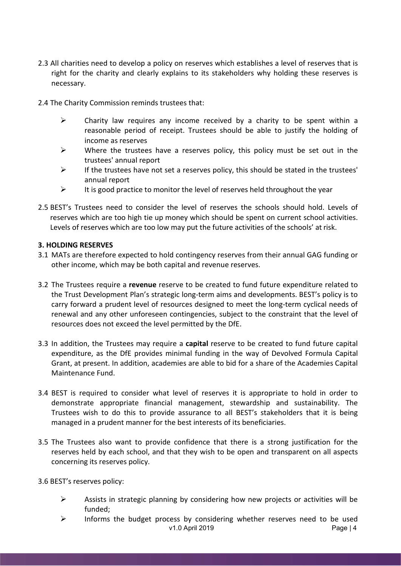- 2.3 All charities need to develop a policy on reserves which establishes a level of reserves that is right for the charity and clearly explains to its stakeholders why holding these reserves is necessary.
- 2.4 The Charity Commission reminds trustees that:
	- $\triangleright$  Charity law requires any income received by a charity to be spent within a reasonable period of receipt. Trustees should be able to justify the holding of income as reserves
	- $\triangleright$  Where the trustees have a reserves policy, this policy must be set out in the trustees' annual report
	- $\triangleright$  If the trustees have not set a reserves policy, this should be stated in the trustees' annual report
	- $\triangleright$  It is good practice to monitor the level of reserves held throughout the year
- 2.5 BEST's Trustees need to consider the level of reserves the schools should hold. Levels of reserves which are too high tie up money which should be spent on current school activities. Levels of reserves which are too low may put the future activities of the schools' at risk.

#### 3. HOLDING RESERVES

- 3.1 MATs are therefore expected to hold contingency reserves from their annual GAG funding or other income, which may be both capital and revenue reserves.
- 3.2 The Trustees require a revenue reserve to be created to fund future expenditure related to the Trust Development Plan's strategic long-term aims and developments. BEST's policy is to carry forward a prudent level of resources designed to meet the long-term cyclical needs of renewal and any other unforeseen contingencies, subject to the constraint that the level of resources does not exceed the level permitted by the DfE.
- 3.3 In addition, the Trustees may require a capital reserve to be created to fund future capital expenditure, as the DfE provides minimal funding in the way of Devolved Formula Capital Grant, at present. In addition, academies are able to bid for a share of the Academies Capital Maintenance Fund.
- 3.4 BEST is required to consider what level of reserves it is appropriate to hold in order to demonstrate appropriate financial management, stewardship and sustainability. The Trustees wish to do this to provide assurance to all BEST's stakeholders that it is being managed in a prudent manner for the best interests of its beneficiaries.
- 3.5 The Trustees also want to provide confidence that there is a strong justification for the reserves held by each school, and that they wish to be open and transparent on all aspects concerning its reserves policy.

3.6 BEST's reserves policy:

- $\triangleright$  Assists in strategic planning by considering how new projects or activities will be funded;
- v1.0 April 2019 **Page | 4**  $\triangleright$  Informs the budget process by considering whether reserves need to be used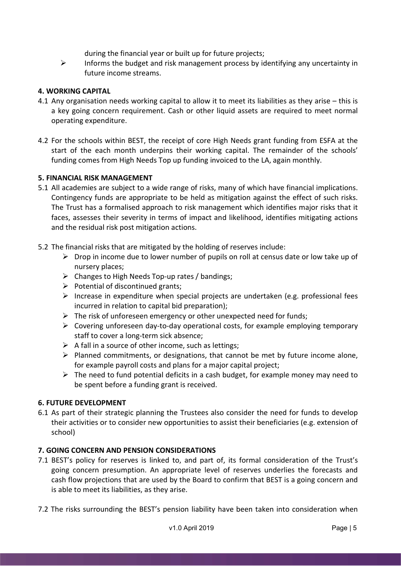during the financial year or built up for future projects;

 $\triangleright$  Informs the budget and risk management process by identifying any uncertainty in future income streams.

## 4. WORKING CAPITAL

- 4.1 Any organisation needs working capital to allow it to meet its liabilities as they arise this is a key going concern requirement. Cash or other liquid assets are required to meet normal operating expenditure.
- 4.2 For the schools within BEST, the receipt of core High Needs grant funding from ESFA at the start of the each month underpins their working capital. The remainder of the schools' funding comes from High Needs Top up funding invoiced to the LA, again monthly.

#### 5. FINANCIAL RISK MANAGEMENT

- 5.1 All academies are subject to a wide range of risks, many of which have financial implications. Contingency funds are appropriate to be held as mitigation against the effect of such risks. The Trust has a formalised approach to risk management which identifies major risks that it faces, assesses their severity in terms of impact and likelihood, identifies mitigating actions and the residual risk post mitigation actions.
- 5.2 The financial risks that are mitigated by the holding of reserves include:
	- $\triangleright$  Drop in income due to lower number of pupils on roll at census date or low take up of nursery places;
	- $\triangleright$  Changes to High Needs Top-up rates / bandings;
	- $\triangleright$  Potential of discontinued grants;
	- $\triangleright$  Increase in expenditure when special projects are undertaken (e.g. professional fees incurred in relation to capital bid preparation);
	- $\triangleright$  The risk of unforeseen emergency or other unexpected need for funds;
	- $\triangleright$  Covering unforeseen day-to-day operational costs, for example employing temporary staff to cover a long-term sick absence;
	- $\triangleright$  A fall in a source of other income, such as lettings;
	- $\triangleright$  Planned commitments, or designations, that cannot be met by future income alone, for example payroll costs and plans for a major capital project;
	- $\triangleright$  The need to fund potential deficits in a cash budget, for example money may need to be spent before a funding grant is received.

#### 6. FUTURE DEVELOPMENT

6.1 As part of their strategic planning the Trustees also consider the need for funds to develop their activities or to consider new opportunities to assist their beneficiaries (e.g. extension of school)

#### 7. GOING CONCERN AND PENSION CONSIDERATIONS

- 7.1 BEST's policy for reserves is linked to, and part of, its formal consideration of the Trust's going concern presumption. An appropriate level of reserves underlies the forecasts and cash flow projections that are used by the Board to confirm that BEST is a going concern and is able to meet its liabilities, as they arise.
- 7.2 The risks surrounding the BEST's pension liability have been taken into consideration when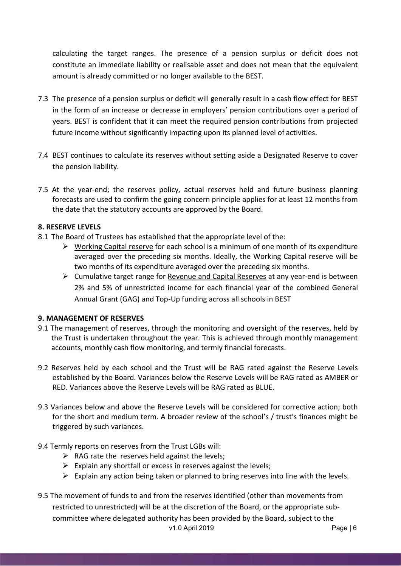calculating the target ranges. The presence of a pension surplus or deficit does not constitute an immediate liability or realisable asset and does not mean that the equivalent amount is already committed or no longer available to the BEST.

- 7.3 The presence of a pension surplus or deficit will generally result in a cash flow effect for BEST in the form of an increase or decrease in employers' pension contributions over a period of years. BEST is confident that it can meet the required pension contributions from projected future income without significantly impacting upon its planned level of activities.
- 7.4 BEST continues to calculate its reserves without setting aside a Designated Reserve to cover the pension liability.
- 7.5 At the year-end; the reserves policy, actual reserves held and future business planning forecasts are used to confirm the going concern principle applies for at least 12 months from the date that the statutory accounts are approved by the Board.

## 8. RESERVE LEVELS

- 8.1 The Board of Trustees has established that the appropriate level of the:
	- $\triangleright$  Working Capital reserve for each school is a minimum of one month of its expenditure averaged over the preceding six months. Ideally, the Working Capital reserve will be two months of its expenditure averaged over the preceding six months.
	- Cumulative target range for Revenue and Capital Reserves at any year-end is between 2% and 5% of unrestricted income for each financial year of the combined General Annual Grant (GAG) and Top-Up funding across all schools in BEST

#### 9. MANAGEMENT OF RESERVES

- 9.1 The management of reserves, through the monitoring and oversight of the reserves, held by the Trust is undertaken throughout the year. This is achieved through monthly management accounts, monthly cash flow monitoring, and termly financial forecasts.
- 9.2 Reserves held by each school and the Trust will be RAG rated against the Reserve Levels established by the Board. Variances below the Reserve Levels will be RAG rated as AMBER or RED. Variances above the Reserve Levels will be RAG rated as BLUE.
- 9.3 Variances below and above the Reserve Levels will be considered for corrective action; both for the short and medium term. A broader review of the school's / trust's finances might be triggered by such variances.
- 9.4 Termly reports on reserves from the Trust LGBs will:
	- $\triangleright$  RAG rate the reserves held against the levels:
	- $\triangleright$  Explain any shortfall or excess in reserves against the levels;
	- $\triangleright$  Explain any action being taken or planned to bring reserves into line with the levels.
- v1.0 April 2019 **Page | 6** 9.5 The movement of funds to and from the reserves identified (other than movements from restricted to unrestricted) will be at the discretion of the Board, or the appropriate subcommittee where delegated authority has been provided by the Board, subject to the